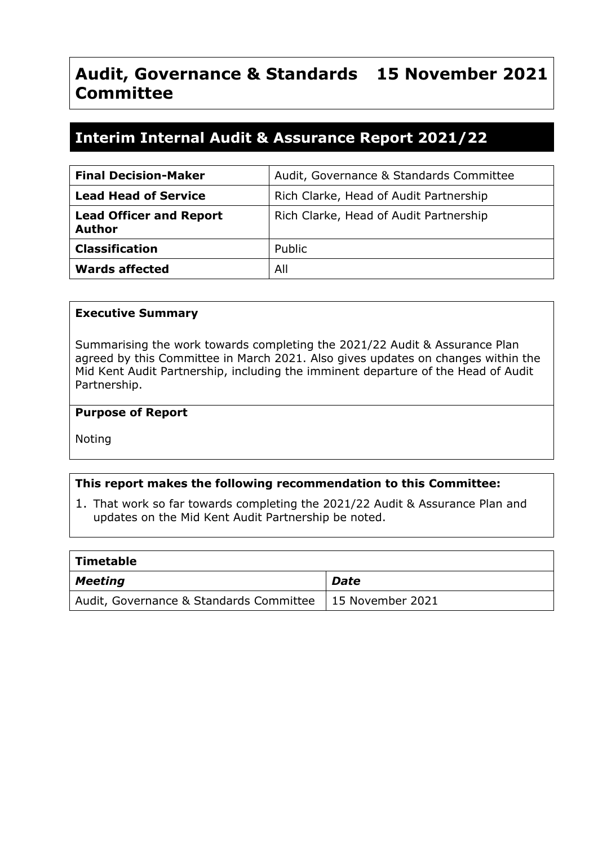# **Audit, Governance & Standards 15 November 2021 Committee**

## **Interim Internal Audit & Assurance Report 2021/22**

| <b>Final Decision-Maker</b>                     | Audit, Governance & Standards Committee |  |
|-------------------------------------------------|-----------------------------------------|--|
| <b>Lead Head of Service</b>                     | Rich Clarke, Head of Audit Partnership  |  |
| <b>Lead Officer and Report</b><br><b>Author</b> | Rich Clarke, Head of Audit Partnership  |  |
| <b>Classification</b>                           | Public                                  |  |
| <b>Wards affected</b>                           | All                                     |  |

#### **Executive Summary**

Summarising the work towards completing the 2021/22 Audit & Assurance Plan agreed by this Committee in March 2021. Also gives updates on changes within the Mid Kent Audit Partnership, including the imminent departure of the Head of Audit Partnership.

#### **Purpose of Report**

Noting

#### **This report makes the following recommendation to this Committee:**

1. That work so far towards completing the 2021/22 Audit & Assurance Plan and updates on the Mid Kent Audit Partnership be noted.

| $\mid$ Timetable                                           |      |  |  |  |
|------------------------------------------------------------|------|--|--|--|
| Meeting                                                    | Date |  |  |  |
| Audit, Governance & Standards Committee   15 November 2021 |      |  |  |  |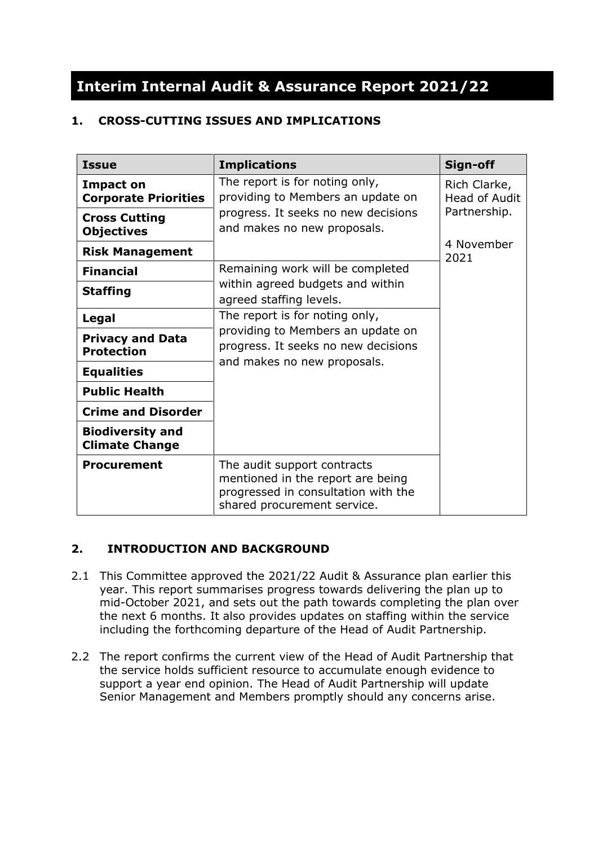# **Interim Internal Audit & Assurance Report 2021/22**

## **1. CROSS-CUTTING ISSUES AND IMPLICATIONS**

| <b>Issue</b>                                     | <b>Implications</b>                                                                                                                    | Sign-off                             |
|--------------------------------------------------|----------------------------------------------------------------------------------------------------------------------------------------|--------------------------------------|
| <b>Impact on</b><br><b>Corporate Priorities</b>  | The report is for noting only,<br>providing to Members an update on                                                                    | Rich Clarke,<br><b>Head of Audit</b> |
| <b>Cross Cutting</b><br><b>Objectives</b>        | progress. It seeks no new decisions<br>and makes no new proposals.                                                                     | Partnership.                         |
| <b>Risk Management</b>                           |                                                                                                                                        | 4 November<br>2021                   |
| <b>Financial</b>                                 | Remaining work will be completed                                                                                                       |                                      |
| <b>Staffing</b>                                  | within agreed budgets and within<br>agreed staffing levels.                                                                            |                                      |
| Legal                                            | The report is for noting only,                                                                                                         |                                      |
| <b>Privacy and Data</b><br><b>Protection</b>     | providing to Members an update on<br>progress. It seeks no new decisions                                                               |                                      |
| <b>Equalities</b>                                | and makes no new proposals.                                                                                                            |                                      |
| <b>Public Health</b>                             |                                                                                                                                        |                                      |
| <b>Crime and Disorder</b>                        |                                                                                                                                        |                                      |
| <b>Biodiversity and</b><br><b>Climate Change</b> |                                                                                                                                        |                                      |
| <b>Procurement</b>                               | The audit support contracts<br>mentioned in the report are being<br>progressed in consultation with the<br>shared procurement service. |                                      |

## **2. INTRODUCTION AND BACKGROUND**

- 2.1 This Committee approved the 2021/22 Audit & Assurance plan earlier this year. This report summarises progress towards delivering the plan up to mid-October 2021, and sets out the path towards completing the plan over the next 6 months. It also provides updates on staffing within the service including the forthcoming departure of the Head of Audit Partnership.
- 2.2 The report confirms the current view of the Head of Audit Partnership that the service holds sufficient resource to accumulate enough evidence to support a year end opinion. The Head of Audit Partnership will update Senior Management and Members promptly should any concerns arise.